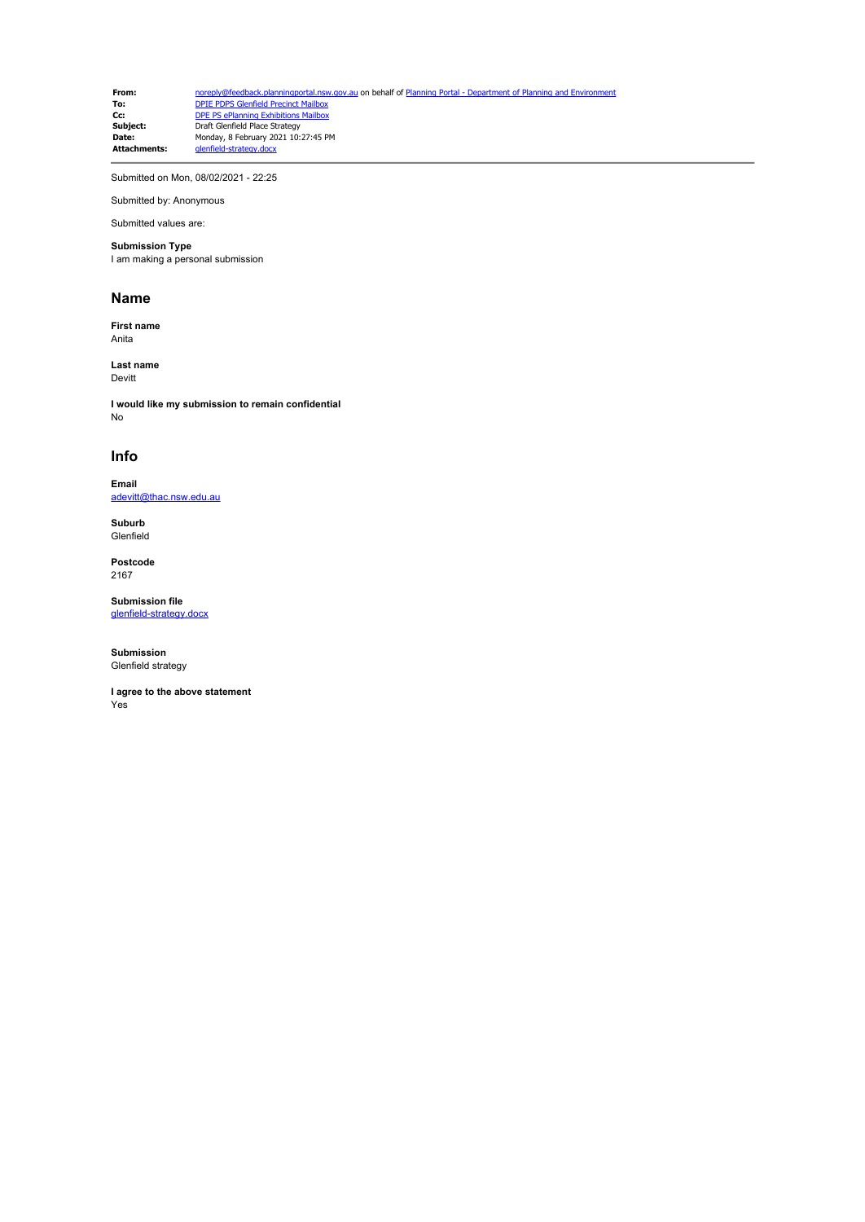**From:** [noreply@feedback.planningportal.nsw.gov.au](mailto:noreply@feedback.planningportal.nsw.gov.au) on behalf of Planning Portal - Department of Planning and Envir<br> **To:** DPIE PDPS Glenfield Precinct Mailbox **To:** [DPIE PDPS Glenfield Precinct Mailbox](mailto:glenfield.precinct@planning.nsw.gov.au)<br> **Cc:** [DPE PS ePlanning Exhibitions Mailbox](mailto:eplanning.exhibitions@planning.nsw.gov.au) **Subject:** Draft Glenfield Place Strategy **Date:** Monday, 8 February 2021 10:27:45 PM **Attachments:** glenfield-strategy.docx

Submitted on Mon, 08/02/2021 - 22:25

Submitted by: Anonymous Submitted values are:

## **Submission Type**

I am making a personal submission

## **Name**

**First name** Anita

**Last name** Devitt

**I would like my submission to remain confidential** No

## **Info**

**Email** [adevitt@thac.nsw.edu.au](mailto:adevitt@thac.nsw.edu.au)

**Suburb** Glenfield

**Postcode** 2167

**Submission file** [glenfield-strategy.docx](https://pp.planningportal.nsw.gov.au/system/files/webform/draft_plans_glenfield/118406/glenfield-strategy.docx)

**Submission** Glenfield strategy

**I agree to the above statement** Yes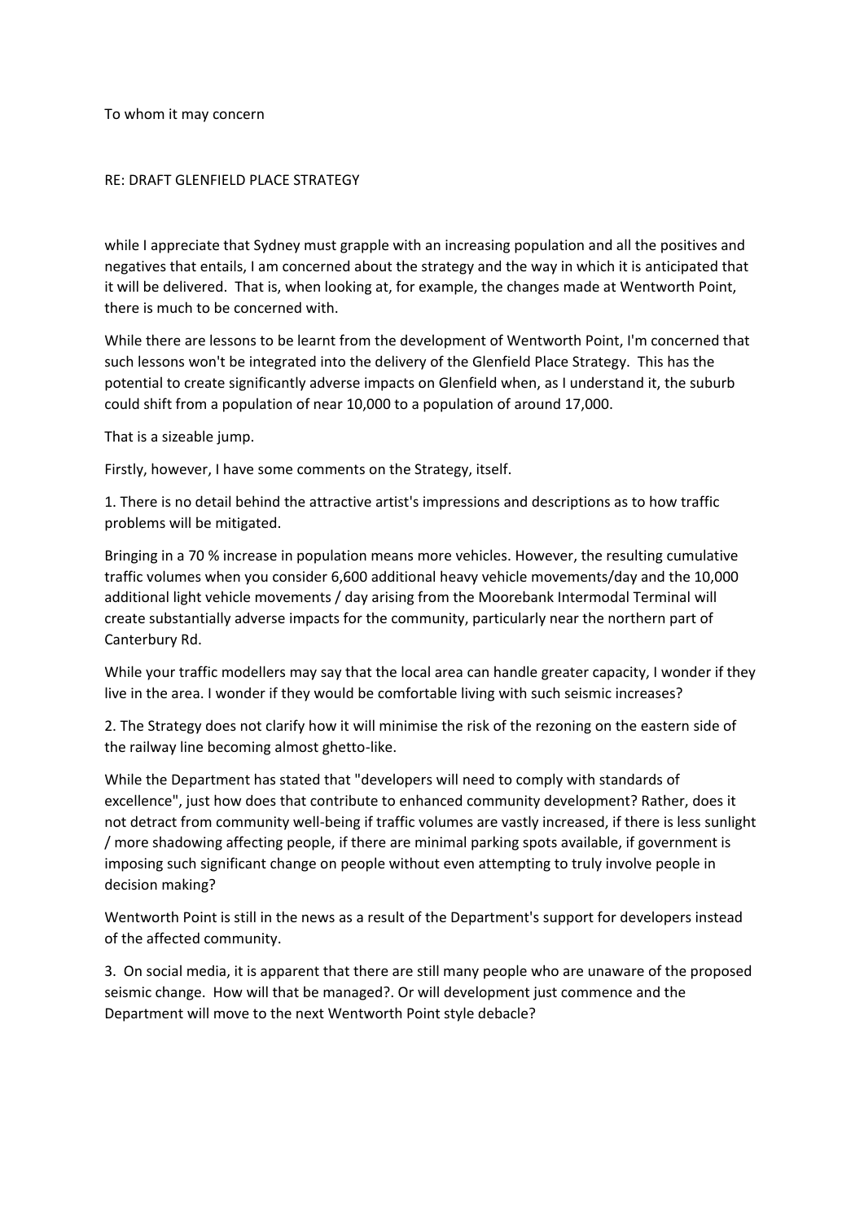To whom it may concern

## RE: DRAFT GLENFIELD PLACE STRATEGY

while I appreciate that Sydney must grapple with an increasing population and all the positives and negatives that entails, I am concerned about the strategy and the way in which it is anticipated that it will be delivered. That is, when looking at, for example, the changes made at Wentworth Point, there is much to be concerned with.

While there are lessons to be learnt from the development of Wentworth Point, I'm concerned that such lessons won't be integrated into the delivery of the Glenfield Place Strategy. This has the potential to create significantly adverse impacts on Glenfield when, as I understand it, the suburb could shift from a population of near 10,000 to a population of around 17,000.

That is a sizeable jump.

Firstly, however, I have some comments on the Strategy, itself.

1. There is no detail behind the attractive artist's impressions and descriptions as to how traffic problems will be mitigated.

Bringing in a 70 % increase in population means more vehicles. However, the resulting cumulative traffic volumes when you consider 6,600 additional heavy vehicle movements/day and the 10,000 additional light vehicle movements / day arising from the Moorebank Intermodal Terminal will create substantially adverse impacts for the community, particularly near the northern part of Canterbury Rd.

While your traffic modellers may say that the local area can handle greater capacity, I wonder if they live in the area. I wonder if they would be comfortable living with such seismic increases?

2. The Strategy does not clarify how it will minimise the risk of the rezoning on the eastern side of the railway line becoming almost ghetto-like.

While the Department has stated that "developers will need to comply with standards of excellence", just how does that contribute to enhanced community development? Rather, does it not detract from community well-being if traffic volumes are vastly increased, if there is less sunlight / more shadowing affecting people, if there are minimal parking spots available, if government is imposing such significant change on people without even attempting to truly involve people in decision making?

Wentworth Point is still in the news as a result of the Department's support for developers instead of the affected community.

3. On social media, it is apparent that there are still many people who are unaware of the proposed seismic change. How will that be managed?. Or will development just commence and the Department will move to the next Wentworth Point style debacle?